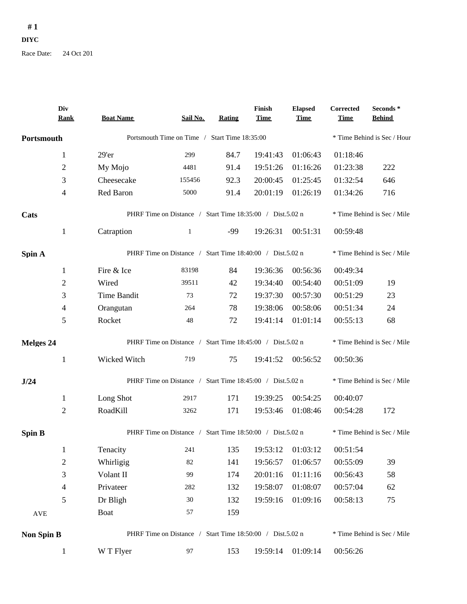## **# 1 DIYC**

Race Date: 24 Oct 201

|                  | Div<br><b>Rank</b> | <b>Boat Name</b>                                          | Sail No.                                                  | Rating                      | Finish<br><b>Time</b> | <b>Elapsed</b><br><b>Time</b> | Corrected<br><b>Time</b> | Seconds *<br><b>Behind</b>  |
|------------------|--------------------|-----------------------------------------------------------|-----------------------------------------------------------|-----------------------------|-----------------------|-------------------------------|--------------------------|-----------------------------|
| Portsmouth       |                    |                                                           | Portsmouth Time on Time / Start Time 18:35:00             |                             |                       |                               |                          | * Time Behind is Sec / Hour |
|                  | $\mathbf{1}$       | 29'er                                                     | 299                                                       | 84.7                        | 19:41:43              | 01:06:43                      | 01:18:46                 |                             |
|                  | $\overline{c}$     | My Mojo                                                   | 4481                                                      | 91.4                        | 19:51:26              | 01:16:26                      | 01:23:38                 | 222                         |
|                  | 3                  | Cheesecake                                                | 155456                                                    | 92.3                        | 20:00:45              | 01:25:45                      | 01:32:54                 | 646                         |
|                  | 4                  | Red Baron                                                 | 5000                                                      | 91.4                        | 20:01:19              | 01:26:19                      | 01:34:26                 | 716                         |
| Cats             |                    |                                                           | PHRF Time on Distance / Start Time 18:35:00 / Dist.5.02 n |                             |                       |                               |                          | * Time Behind is Sec / Mile |
|                  | $\mathbf{1}$       | Catraption                                                | $\mathbf{1}$                                              | $-99$                       | 19:26:31              | 00:51:31                      | 00:59:48                 |                             |
| Spin A           |                    |                                                           | PHRF Time on Distance / Start Time 18:40:00 / Dist.5.02 n |                             |                       |                               |                          | * Time Behind is Sec / Mile |
|                  | $\mathbf{1}$       | Fire & Ice                                                | 83198                                                     | 84                          | 19:36:36              | 00:56:36                      | 00:49:34                 |                             |
|                  | 2                  | Wired                                                     | 39511                                                     | 42                          | 19:34:40              | 00:54:40                      | 00:51:09                 | 19                          |
|                  | 3                  | Time Bandit                                               | 73                                                        | 72                          | 19:37:30              | 00:57:30                      | 00:51:29                 | 23                          |
|                  | 4                  | Orangutan                                                 | 264                                                       | 78                          | 19:38:06              | 00:58:06                      | 00:51:34                 | 24                          |
|                  | 5                  | Rocket                                                    | 48                                                        | 72                          | 19:41:14              | 01:01:14                      | 00:55:13                 | 68                          |
| <b>Melges 24</b> |                    | PHRF Time on Distance / Start Time 18:45:00 / Dist.5.02 n | * Time Behind is Sec / Mile                               |                             |                       |                               |                          |                             |
|                  | $\mathbf{1}$       | Wicked Witch                                              | 719                                                       | 75                          | 19:41:52              | 00:56:52                      | 00:50:36                 |                             |
| J/24             |                    | PHRF Time on Distance / Start Time 18:45:00 / Dist.5.02 n |                                                           | * Time Behind is Sec / Mile |                       |                               |                          |                             |
|                  | $\mathbf{1}$       | Long Shot                                                 | 2917                                                      | 171                         | 19:39:25              | 00:54:25                      | 00:40:07                 |                             |
|                  | $\mathfrak{2}$     | RoadKill                                                  | 3262                                                      | 171                         | 19:53:46              | 01:08:46                      | 00:54:28                 | 172                         |
| <b>Spin B</b>    |                    | PHRF Time on Distance / Start Time 18:50:00 / Dist.5.02 n |                                                           | * Time Behind is Sec / Mile |                       |                               |                          |                             |
|                  | $\mathbf{1}$       | Tenacity                                                  | 241                                                       | 135                         | 19:53:12              | 01:03:12                      | 00:51:54                 |                             |
|                  | $\overline{c}$     | Whirligig                                                 | 82                                                        | 141                         | 19:56:57              | 01:06:57                      | 00:55:09                 | 39                          |
|                  | 3                  | Volant II                                                 | 99                                                        | 174                         | 20:01:16              | 01:11:16                      | 00:56:43                 | 58                          |
|                  | 4                  | Privateer                                                 | 282                                                       | 132                         | 19:58:07              | 01:08:07                      | 00:57:04                 | 62                          |
|                  | 5                  | Dr Bligh                                                  | 30                                                        | 132                         | 19:59:16              | 01:09:16                      | 00:58:13                 | 75                          |
| AVE              |                    | <b>Boat</b>                                               | 57                                                        | 159                         |                       |                               |                          |                             |
| Non Spin B       |                    | PHRF Time on Distance / Start Time 18:50:00 / Dist.5.02 n |                                                           | * Time Behind is Sec / Mile |                       |                               |                          |                             |
|                  | $\mathbf{1}$       | W T Flyer                                                 | 97                                                        | 153                         | 19:59:14              | 01:09:14                      | 00:56:26                 |                             |